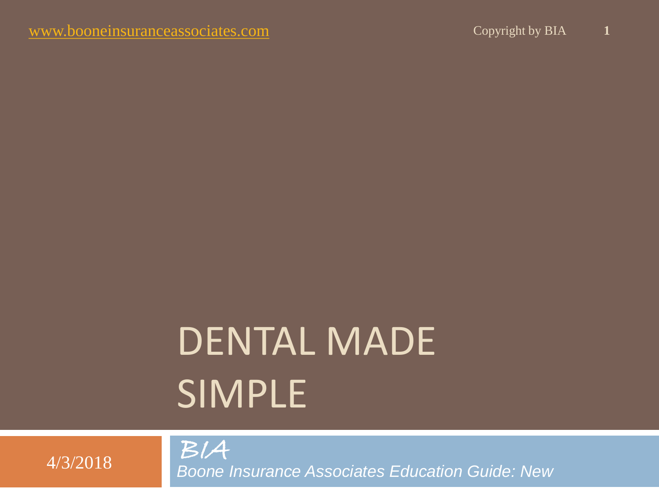# DENTAL MADE SIMPLE

4/3/2018

BIA *Boone Insurance Associates Education Guide: New*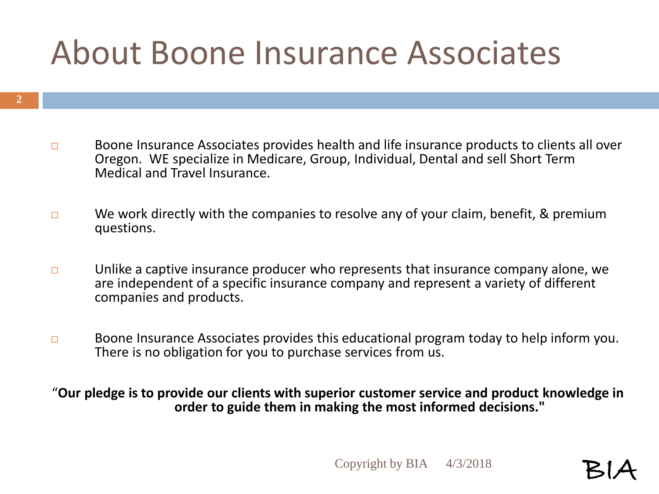### About Boone Insurance Associates

- Boone Insurance Associates provides health and life insurance products to clients all over Oregon. WE specialize in Medicare, Group, Individual, Dental and sell Short Term Medical and Travel Insurance.
- $\Box$  We work directly with the companies to resolve any of your claim, benefit, & premium questions.
- $\Box$  Unlike a captive insurance producer who represents that insurance company alone, we are independent of a specific insurance company and represent a variety of different companies and products.
- $\Box$  Boone Insurance Associates provides this educational program today to help inform you. There is no obligation for you to purchase services from us.

"**Our pledge is to provide our clients with superior customer service and product knowledge in order to guide them in making the most informed decisions."**

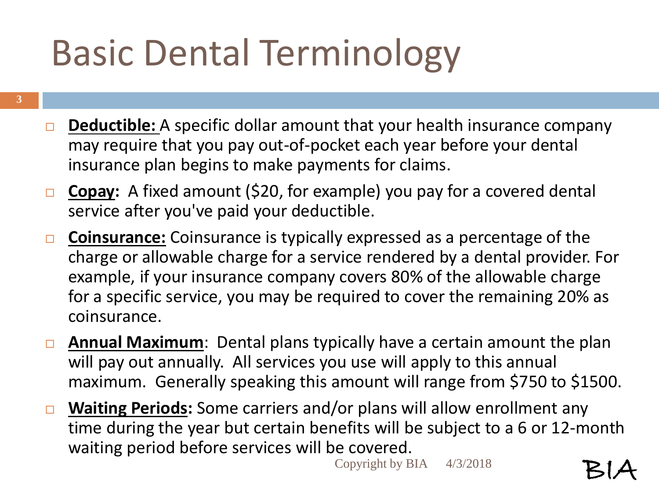# Basic Dental Terminology

- **Deductible:** A specific dollar amount that your health insurance company may require that you pay out-of-pocket each year before your dental insurance plan begins to make payments for claims.
- **Copay:** A fixed amount (\$20, for example) you pay for a covered dental service after you've paid your deductible.
- □ Coinsurance: Coinsurance is typically expressed as a percentage of the charge or allowable charge for a service rendered by a dental provider. For example, if your insurance company covers 80% of the allowable charge for a specific service, you may be required to cover the remaining 20% as coinsurance.
- **Annual Maximum**: Dental plans typically have a certain amount the plan will pay out annually. All services you use will apply to this annual maximum. Generally speaking this amount will range from \$750 to \$1500.
- **Waiting Periods:** Some carriers and/or plans will allow enrollment any time during the year but certain benefits will be subject to a 6 or 12-month waiting period before services will be covered.

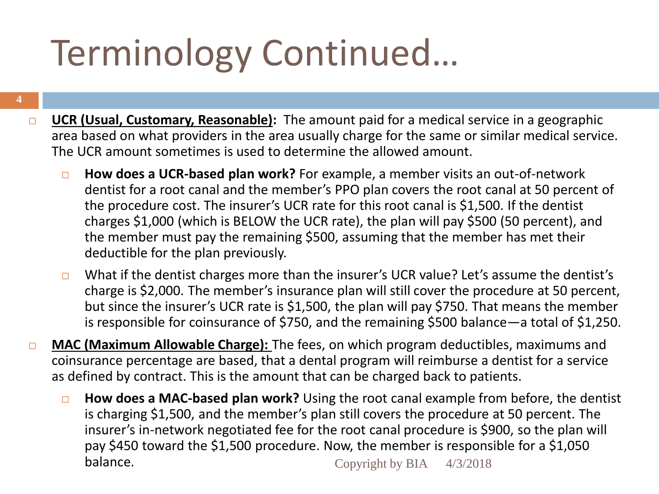# Terminology Continued…

- **4**
- **UCR (Usual, Customary, Reasonable):** The amount paid for a medical service in a geographic area based on what providers in the area usually charge for the same or similar medical service. The UCR amount sometimes is used to determine the allowed amount.
	- **How does a UCR-based plan work?** For example, a member visits an out-of-network dentist for a root canal and the member's PPO plan covers the root canal at 50 percent of the procedure cost. The insurer's UCR rate for this root canal is \$1,500. If the dentist charges \$1,000 (which is BELOW the UCR rate), the plan will pay \$500 (50 percent), and the member must pay the remaining \$500, assuming that the member has met their deductible for the plan previously.
	- $\Box$  What if the dentist charges more than the insurer's UCR value? Let's assume the dentist's charge is \$2,000. The member's insurance plan will still cover the procedure at 50 percent, but since the insurer's UCR rate is \$1,500, the plan will pay \$750. That means the member is responsible for coinsurance of \$750, and the remaining \$500 balance—a total of \$1,250.
- **MAC (Maximum Allowable Charge):** The fees, on which program deductibles, maximums and coinsurance percentage are based, that a dental program will reimburse a dentist for a service as defined by contract. This is the amount that can be charged back to patients.
	- **How does a MAC-based plan work?** Using the root canal example from before, the dentist is charging \$1,500, and the member's plan still covers the procedure at 50 percent. The insurer's in-network negotiated fee for the root canal procedure is \$900, so the plan will pay \$450 toward the \$1,500 procedure. Now, the member is responsible for a \$1,050 **balance.** Copyright by BIA 4/3/2018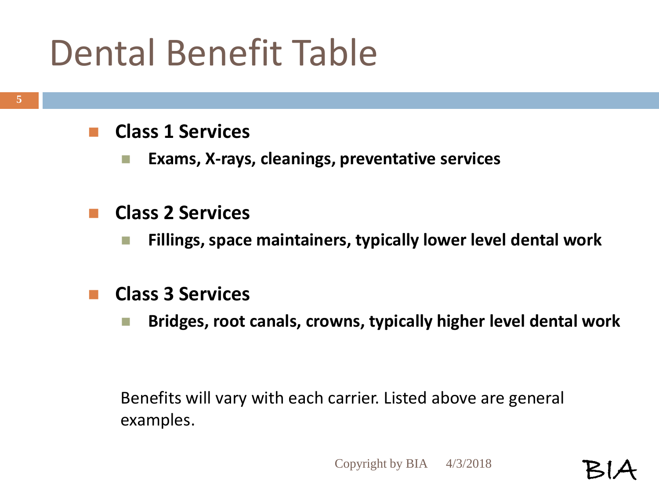### Dental Benefit Table

#### **Class 1 Services**

**Exams, X-rays, cleanings, preventative services**

#### **Class 2 Services**

**Fillings, space maintainers, typically lower level dental work**

#### **Class 3 Services**

**Bridges, root canals, crowns, typically higher level dental work**

Benefits will vary with each carrier. Listed above are general examples.

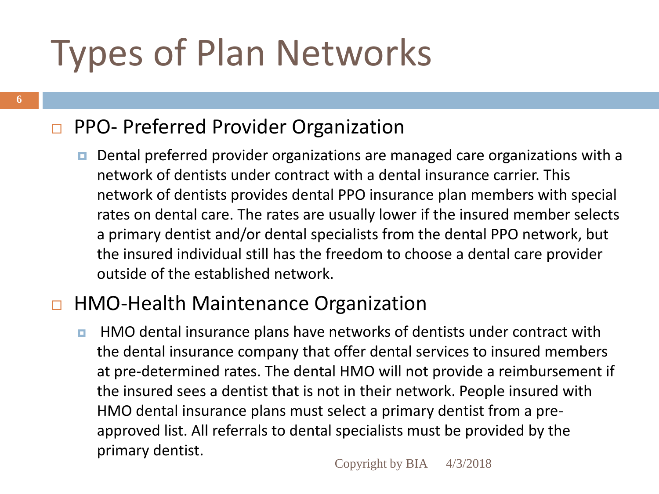# Types of Plan Networks

#### PPO- Preferred Provider Organization

**6**

**D** Dental preferred provider organizations are managed care organizations with a network of dentists under contract with a dental insurance carrier. This network of dentists provides dental PPO insurance plan members with special rates on dental care. The rates are usually lower if the insured member selects a primary dentist and/or dental specialists from the dental PPO network, but the insured individual still has the freedom to choose a dental care provider outside of the established network.

#### □ HMO-Health Maintenance Organization

**HMO** dental insurance plans have networks of dentists under contract with the dental insurance company that offer dental services to insured members at pre-determined rates. The dental HMO will not provide a reimbursement if the insured sees a dentist that is not in their network. People insured with HMO dental insurance plans must select a primary dentist from a preapproved list. All referrals to dental specialists must be provided by the primary dentist.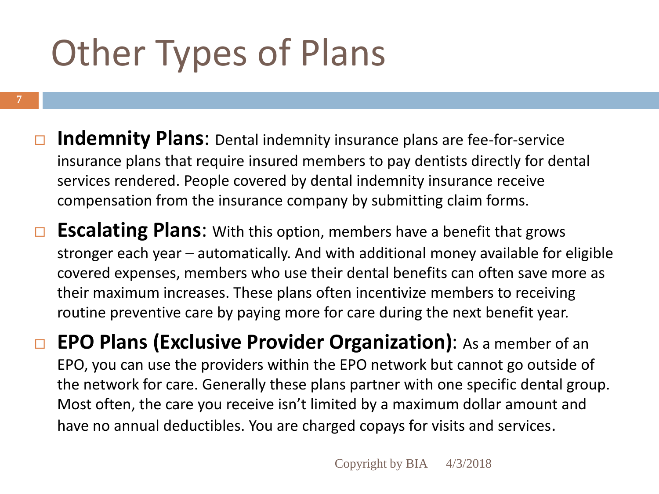# Other Types of Plans

**7**

- **Indemnity Plans**: Dental indemnity insurance plans are fee-for-service insurance plans that require insured members to pay dentists directly for dental services rendered. People covered by dental indemnity insurance receive compensation from the insurance company by submitting claim forms.
- **□ Escalating Plans**: With this option, members have a benefit that grows stronger each year – automatically. And with additional money available for eligible covered expenses, members who use their dental benefits can often save more as their maximum increases. These plans often incentivize members to receiving routine preventive care by paying more for care during the next benefit year.
- **EPO Plans (Exclusive Provider Organization)**: As a member of an EPO, you can use the providers within the EPO network but cannot go outside of the network for care. Generally these plans partner with one specific dental group. Most often, the care you receive isn't limited by a maximum dollar amount and have no annual deductibles. You are charged copays for visits and services.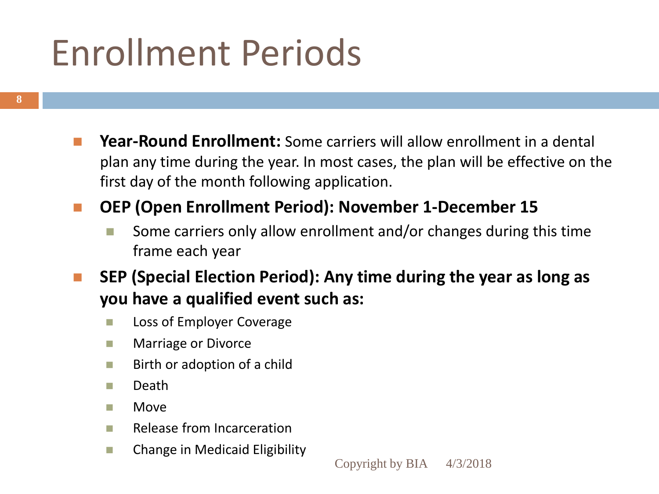### Enrollment Periods

- **Year-Round Enrollment:** Some carriers will allow enrollment in a dental plan any time during the year. In most cases, the plan will be effective on the first day of the month following application.
- OEP (Open Enrollment Period): November 1-December 15
	- Some carriers only allow enrollment and/or changes during this time frame each year
- **SEP (Special Election Period): Any time during the year as long as you have a qualified event such as:**
	- **Loss of Employer Coverage**
	- **Narriage or Divorce**
	- **Birth or adoption of a child**
	- Death
	- Move
	- **Release from Incarceration**
	- **E** Change in Medicaid Eligibility

**8**